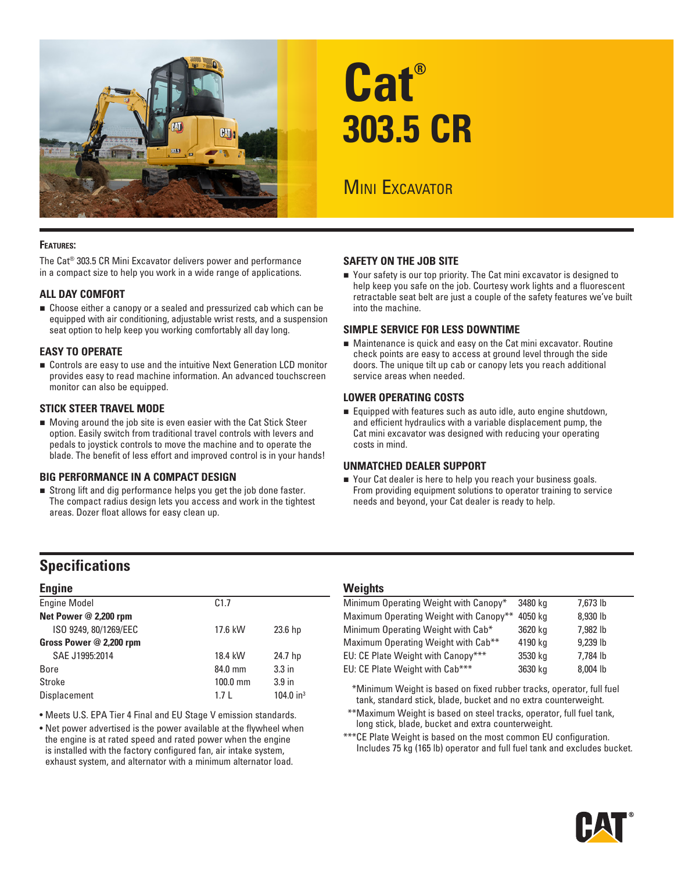

# **Cat® 303.5 CR**

## **MINI EXCAVATOR**

#### **Features:**

The Cat® 303.5 CR Mini Excavator delivers power and performance in a compact size to help you work in a wide range of applications.

#### **ALL DAY COMFORT**

■ Choose either a canopy or a sealed and pressurized cab which can be equipped with air conditioning, adjustable wrist rests, and a suspension seat option to help keep you working comfortably all day long.

#### **EASY TO OPERATE**

■ Controls are easy to use and the intuitive Next Generation LCD monitor provides easy to read machine information. An advanced touchscreen monitor can also be equipped.

#### **STICK STEER TRAVEL MODE**

 Moving around the job site is even easier with the Cat Stick Steer option. Easily switch from traditional travel controls with levers and pedals to joystick controls to move the machine and to operate the blade. The benefit of less effort and improved control is in your hands!

#### **BIG PERFORMANCE IN A COMPACT DESIGN**

 Strong lift and dig performance helps you get the job done faster. The compact radius design lets you access and work in the tightest areas. Dozer float allows for easy clean up.

#### **SAFETY ON THE JOB SITE**

■ Your safety is our top priority. The Cat mini excavator is designed to help keep you safe on the job. Courtesy work lights and a fluorescent retractable seat belt are just a couple of the safety features we've built into the machine.

#### **SIMPLE SERVICE FOR LESS DOWNTIME**

 Maintenance is quick and easy on the Cat mini excavator. Routine check points are easy to access at ground level through the side doors. The unique tilt up cab or canopy lets you reach additional service areas when needed.

#### **LOWER OPERATING COSTS**

 Equipped with features such as auto idle, auto engine shutdown, and efficient hydraulics with a variable displacement pump, the Cat mini excavator was designed with reducing your operating costs in mind.

#### **UNMATCHED DEALER SUPPORT**

■ Your Cat dealer is here to help you reach your business goals. From providing equipment solutions to operator training to service needs and beyond, your Cat dealer is ready to help.

### **Specifications**

#### **Engine** Engine Model C1.7 **Net Power @ 2,200 rpm** ISO 9249, 80/1269/EEC 17.6 kW 23.6 hp **Gross Power @ 2,200 rpm** SAE J1995:2014 18.4 kW 24.7 hp Bore 84.0 mm 3.3 in Stroke 3.9 in 100.0 mm 3.9 in Displacement 1.7 L 104.0 in<sup>3</sup>

- Meets U.S. EPA Tier 4 Final and EU Stage V emission standards.
- Net power advertised is the power available at the flywheel when the engine is at rated speed and rated power when the engine is installed with the factory configured fan, air intake system, exhaust system, and alternator with a minimum alternator load.

#### **Weights**

| Minimum Operating Weight with Canopy*  | 3480 ka | 7,673 lb |
|----------------------------------------|---------|----------|
| Maximum Operating Weight with Canopy** | 4050 ka | 8,930 lb |
| Minimum Operating Weight with Cab*     | 3620 kg | 7.982 lb |
| Maximum Operating Weight with Cab**    | 4190 kg | 9,239 lb |
| EU: CE Plate Weight with Canopy***     | 3530 kg | 7,784 lb |
| EU: CE Plate Weight with Cab***        | 3630 kg | 8,004 lb |

\*\*\*Minimum Weight is based on fixed rubber tracks, operator, full fuel tank, standard stick, blade, bucket and no extra counterweight.

\*\*\*Maximum Weight is based on steel tracks, operator, full fuel tank, long stick, blade, bucket and extra counterweight.

\*\*\*CE Plate Weight is based on the most common EU configuration. Includes 75 kg (165 lb) operator and full fuel tank and excludes bucket.

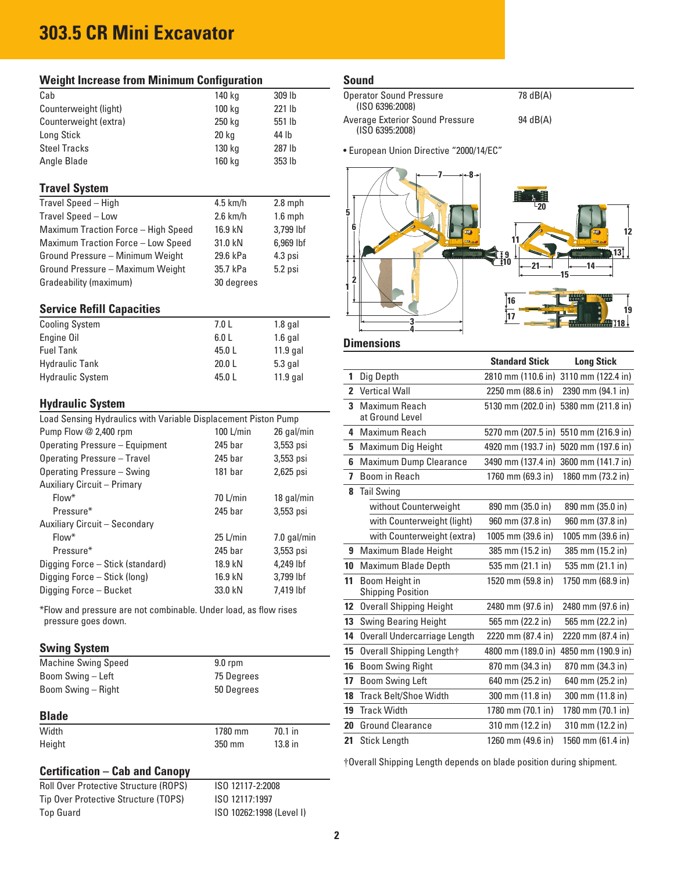# **303.5 CR Mini Excavator**

| <b>Weight Increase from Minimum Configuration</b>                                       |                    |             |  |  |  |  |  |
|-----------------------------------------------------------------------------------------|--------------------|-------------|--|--|--|--|--|
| Cab                                                                                     | 140 kg             | 309 lb      |  |  |  |  |  |
| Counterweight (light)                                                                   | 100 kg             | 221 lb      |  |  |  |  |  |
| Counterweight (extra)                                                                   | 250 kg             | 551 lb      |  |  |  |  |  |
| Long Stick                                                                              | 20 kg              | 44 lb       |  |  |  |  |  |
| <b>Steel Tracks</b>                                                                     | 130 kg             | 287 lb      |  |  |  |  |  |
| Angle Blade                                                                             | 160 kg             | 353 lb      |  |  |  |  |  |
| <b>Travel System</b>                                                                    |                    |             |  |  |  |  |  |
| Travel Speed - High                                                                     | $4.5$ km/h         | $2.8$ mph   |  |  |  |  |  |
| Travel Speed - Low                                                                      | $2.6$ km/h         | $1.6$ mph   |  |  |  |  |  |
| Maximum Traction Force - High Speed                                                     | 16.9 kN            | 3,799 lbf   |  |  |  |  |  |
| Maximum Traction Force - Low Speed                                                      | 31.0 kN            | 6,969 lbf   |  |  |  |  |  |
| Ground Pressure - Minimum Weight                                                        | 29.6 kPa           | 4.3 psi     |  |  |  |  |  |
| Ground Pressure - Maximum Weight                                                        | 35.7 kPa           | 5.2 psi     |  |  |  |  |  |
| Gradeability (maximum)                                                                  | 30 degrees         |             |  |  |  |  |  |
| <b>Service Refill Capacities</b>                                                        |                    |             |  |  |  |  |  |
| <b>Cooling System</b>                                                                   | 7.0 L              | $1.8$ gal   |  |  |  |  |  |
| Engine Oil                                                                              | 6.0 L              | $1.6$ gal   |  |  |  |  |  |
| <b>Fuel Tank</b>                                                                        | 45.0 L             | $11.9$ gal  |  |  |  |  |  |
| <b>Hydraulic Tank</b>                                                                   | 20.0 L             | 5.3 gal     |  |  |  |  |  |
| <b>Hydraulic System</b>                                                                 | 45.0 L             | 11.9 gal    |  |  |  |  |  |
|                                                                                         |                    |             |  |  |  |  |  |
| <b>Hydraulic System</b>                                                                 |                    |             |  |  |  |  |  |
| Load Sensing Hydraulics with Variable Displacement Piston Pump                          |                    |             |  |  |  |  |  |
| Pump Flow @ 2,400 rpm                                                                   | 100 L/min          | 26 gal/min  |  |  |  |  |  |
| <b>Operating Pressure - Equipment</b>                                                   | 245 bar            | 3,553 psi   |  |  |  |  |  |
| <b>Operating Pressure - Travel</b>                                                      | 245 bar            | 3,553 psi   |  |  |  |  |  |
| Operating Pressure - Swing                                                              | 181 bar            | 2,625 psi   |  |  |  |  |  |
| Auxiliary Circuit - Primary                                                             |                    |             |  |  |  |  |  |
| Flow*                                                                                   | 70 L/min           | 18 gal/min  |  |  |  |  |  |
| Pressure*                                                                               | 245 <sub>bar</sub> | 3,553 psi   |  |  |  |  |  |
| Auxiliary Circuit - Secondary                                                           |                    |             |  |  |  |  |  |
| Flow*                                                                                   | $25$ L/min         | 7.0 gal/min |  |  |  |  |  |
| Pressure*                                                                               | 245 bar            | 3,553 psi   |  |  |  |  |  |
| Digging Force - Stick (standard)                                                        | 18.9 kN            | 4,249 lbf   |  |  |  |  |  |
| Digging Force - Stick (long)                                                            | 16.9 kN            | 3,799 lbf   |  |  |  |  |  |
| Digging Force - Bucket                                                                  | 33.0 kN            | 7,419 lbf   |  |  |  |  |  |
| *Flow and pressure are not combinable. Under load, as flow rises<br>pressure goes down. |                    |             |  |  |  |  |  |
| <b>Swing System</b>                                                                     |                    |             |  |  |  |  |  |
| <b>Machine Swing Speed</b>                                                              | $9.0$ rpm          |             |  |  |  |  |  |
| Boom Swing - Left                                                                       | 75 Degrees         |             |  |  |  |  |  |
| Boom Swing - Right                                                                      | 50 Degrees         |             |  |  |  |  |  |

#### **Blade**

| Width  | 1780 mm | $70.1$ in |
|--------|---------|-----------|
| Height | 350 mm  | $13.8$ in |

#### **Certification – Cab and Canopy**

Roll Over Protective Structure (ROPS) ISO 12117-2:2008 Tip Over Protective Structure (TOPS) ISO 12117:1997 Top Guard **ISO 10262:1998** (Level I)

**Sound**

| <b>Operator Sound Pressure</b><br>(ISO 6396:2008)         | 78 dB(A) |
|-----------------------------------------------------------|----------|
| <b>Average Exterior Sound Pressure</b><br>(ISO 6395:2008) | 94 dB(A) |

• European Union Directive "2000/14/EC"



#### **Dimensions**

|                         |                                            | <b>Standard Stick</b> | <b>Long Stick</b>                     |
|-------------------------|--------------------------------------------|-----------------------|---------------------------------------|
| 1                       | Dig Depth                                  | 2810 mm (110.6 in)    | 3110 mm (122.4 in)                    |
| $\mathbf{z}$            | <b>Vertical Wall</b>                       | 2250 mm (88.6 in)     | 2390 mm (94.1 in)                     |
| 3                       | Maximum Reach<br>at Ground Level           |                       | 5130 mm (202.0 in) 5380 mm (211.8 in) |
| 4                       | <b>Maximum Reach</b>                       |                       | 5270 mm (207.5 in) 5510 mm (216.9 in) |
| 5                       | Maximum Dig Height                         | 4920 mm (193.7 in)    | 5020 mm (197.6 in)                    |
| 6                       | <b>Maximum Dump Clearance</b>              | 3490 mm (137.4 in)    | 3600 mm (141.7 in)                    |
| $\overline{\mathbf{z}}$ | Boom in Reach                              | 1760 mm (69.3 in)     | 1860 mm (73.2 in)                     |
| 8                       | <b>Tail Swing</b>                          |                       |                                       |
|                         | without Counterweight                      | 890 mm (35.0 in)      | 890 mm (35.0 in)                      |
|                         | with Counterweight (light)                 | 960 mm (37.8 in)      | 960 mm (37.8 in)                      |
|                         | with Counterweight (extra)                 | 1005 mm (39.6 in)     | 1005 mm (39.6 in)                     |
| 9                       | Maximum Blade Height                       | 385 mm (15.2 in)      | 385 mm (15.2 in)                      |
| 10                      | Maximum Blade Depth                        | 535 mm (21.1 in)      | 535 mm (21.1 in)                      |
| 11                      | Boom Height in<br><b>Shipping Position</b> | 1520 mm (59.8 in)     | 1750 mm (68.9 in)                     |
| 12                      | <b>Overall Shipping Height</b>             | 2480 mm (97.6 in)     | 2480 mm (97.6 in)                     |
| 13                      | <b>Swing Bearing Height</b>                | 565 mm (22.2 in)      | 565 mm (22.2 in)                      |
| 14                      | Overall Undercarriage Length               | 2220 mm (87.4 in)     | 2220 mm (87.4 in)                     |
| 15                      | Overall Shipping Length†                   | 4800 mm (189.0 in)    | 4850 mm (190.9 in)                    |
| 16                      | <b>Boom Swing Right</b>                    | 870 mm (34.3 in)      | 870 mm (34.3 in)                      |
| 17                      | <b>Boom Swing Left</b>                     | 640 mm (25.2 in)      | 640 mm (25.2 in)                      |
| 18                      | <b>Track Belt/Shoe Width</b>               | 300 mm (11.8 in)      | 300 mm (11.8 in)                      |
| 19                      | <b>Track Width</b>                         | 1780 mm (70.1 in)     | 1780 mm (70.1 in)                     |
| 20                      | <b>Ground Clearance</b>                    | 310 mm (12.2 in)      | 310 mm (12.2 in)                      |
| 21                      | <b>Stick Length</b>                        | 1260 mm (49.6 in)     | 1560 mm (61.4 in)                     |

†Overall Shipping Length depends on blade position during shipment.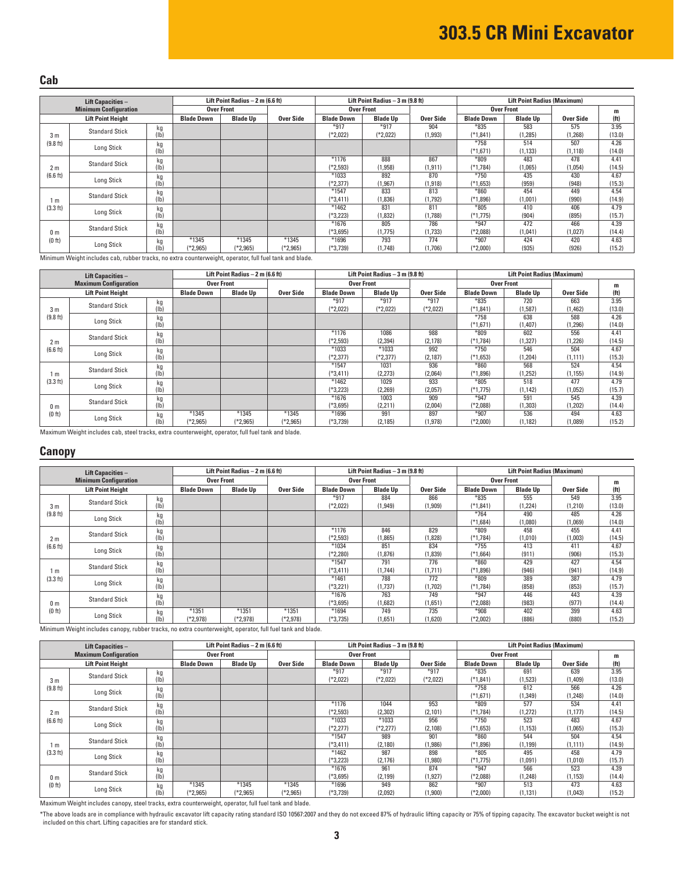#### **Cab**

| <b>Lift Capacities -</b> |                              | Lift Point Radius $-2$ m (6.6 ft) |                     |                     |                     | Lift Point Radius $-3$ m (9.8 ft) |                      |                 | <b>Lift Point Radius (Maximum)</b> |                   |                 |                   |
|--------------------------|------------------------------|-----------------------------------|---------------------|---------------------|---------------------|-----------------------------------|----------------------|-----------------|------------------------------------|-------------------|-----------------|-------------------|
|                          | <b>Minimum Configuration</b> |                                   |                     | Over Front          |                     |                                   | <b>Over Front</b>    |                 |                                    | <b>Over Front</b> |                 | m                 |
|                          | <b>Lift Point Height</b>     |                                   | <b>Blade Down</b>   | <b>Blade Up</b>     | Over Side           | <b>Blade Down</b>                 | <b>Blade Up</b>      | Over Side       | <b>Blade Down</b>                  | <b>Blade Up</b>   | Over Side       | (f <sub>t</sub> ) |
| 3 <sub>m</sub>           | <b>Standard Stick</b>        | kg<br>(1b)                        |                     |                     |                     | $*917$<br>(*2,022)                | $*917$<br>$(*2,022)$ | 904<br>(1, 993) | $*835$<br>(*1,841)                 | 583<br>(1, 285)   | 575<br>(1, 268) | 3.95<br>(13.0)    |
| (9.8 ft)                 | Long Stick                   | kg<br>(1b)                        |                     |                     |                     |                                   |                      |                 | $*758$<br>$(*1,671)$               | 514<br>(1, 133)   | 507<br>(1, 118) | 4.26<br>(14.0)    |
| 2 <sub>m</sub>           | <b>Standard Stick</b>        | kg<br>(Ib)                        |                     |                     |                     | $*1176$<br>(*2,593)               | 888<br>(1, 958)      | 867<br>(1, 911) | $*809$<br>(*1.784)                 | 483<br>(1,065)    | 478<br>(1,054)  | 4.41<br>(14.5)    |
| (6.6 ft)                 | Long Stick                   | kg<br>(1b)                        |                     |                     |                     | *1033<br>(*2,377)                 | 892<br>(1, 967)      | 870<br>(1, 918) | $*750$<br>$(*1.653)$               | 435<br>(959)      | 430<br>(948)    | 4.67<br>(15.3)    |
| 1 m                      | <b>Standard Stick</b>        | kg<br>(1b)                        |                     |                     |                     | $*1547$<br>$(*3.411)$             | 833<br>(1,836)       | 813<br>(1,792)  | $*860$<br>(*1.896)                 | 454<br>(1,001)    | 449<br>(990)    | 4.54<br>(14.9)    |
| (3.3 ft)                 | Long Stick                   | kg<br>(1b)                        |                     |                     |                     | *1462<br>(*3.223)                 | 831<br>(1,832)       | 811<br>(1,788)  | $*805$<br>(*1,775)                 | 410<br>(904)      | 406<br>(895)    | 4.79<br>(15.7)    |
| 0 <sub>m</sub>           | <b>Standard Stick</b>        | kg<br>(Ib)                        |                     |                     |                     | $*1676$<br>$(*3,695)$             | 805<br>(1,775)       | 786<br>(1,733)  | $*947$<br>(*2,088)                 | 472<br>(1,041)    | 466<br>(1,027)  | 4.39<br>(14.4)    |
| (0 <sup>th</sup> )       | Long Stick                   | kg<br>(Ib)                        | $*1345$<br>(*2,965) | $*1345$<br>(*2,965) | $*1345$<br>$*2,965$ | $*1696$<br>(*3,739)               | 793<br>(1,748)       | 774<br>(1,706)  | $*907$<br>(*2,000)                 | 424<br>(935)      | 420<br>(926)    | 4.63<br>(15.2)    |

Minimum Weight includes cab, rubber tracks, no extra counterweight, operator, full fuel tank and blade.

| <b>Lift Capacities -</b> |                              | Lift Point Radius $-2$ m (6.6 ft) |                   |                   |            | Lift Point Radius - 3 m (9.8 ft) |                 | <b>Lift Point Radius (Maximum)</b> |                   |                 |           |                   |
|--------------------------|------------------------------|-----------------------------------|-------------------|-------------------|------------|----------------------------------|-----------------|------------------------------------|-------------------|-----------------|-----------|-------------------|
|                          | <b>Maximum Configuration</b> |                                   |                   | <b>Over Front</b> |            | <b>Over Front</b>                |                 |                                    | <b>Over Front</b> |                 |           | m                 |
|                          | <b>Lift Point Height</b>     |                                   | <b>Blade Down</b> | <b>Blade Up</b>   | Over Side  | <b>Blade Down</b>                | <b>Blade Up</b> | Over Side                          | <b>Blade Down</b> | <b>Blade Up</b> | Over Side | (f <sup>t</sup> ) |
|                          | <b>Standard Stick</b>        | kg                                |                   |                   |            | $*917$                           | $*917$          | $*917$                             | $*835$            | 720             | 663       | 3.95              |
| 3 <sub>m</sub>           |                              | (1b)                              |                   |                   |            | $(*2,022)$                       | $(*2,022)$      | $(*2,022)$                         | (*1,841)          | (1,587)         | (1,462)   | (13.0)            |
| (9.8 ft)                 | Long Stick                   | kg                                |                   |                   |            |                                  |                 |                                    | $*758$            | 638             | 588       | 4.26              |
|                          |                              | (1b)                              |                   |                   |            |                                  |                 |                                    | $(*1,671)$        | (1,407)         | (1, 296)  | (14.0)            |
|                          |                              | kg                                |                   |                   |            | $*1176$                          | 1086            | 988                                | $*809$            | 602             | 556       | 4.41              |
| 2 <sub>m</sub>           | <b>Standard Stick</b>        | (1b)                              |                   |                   |            | $(*2,593)$                       | (2, 394)        | (2, 178)                           | (*1,784)          | (1, 327)        | (1,226)   | (14.5)            |
| (6.6 ft)                 |                              | kg                                |                   |                   |            | $*1033$                          | $*1033$         | 992                                | $*750$            | 546             | 504       | 4.67              |
|                          | Long Stick                   | (1b)                              |                   |                   |            | (*2.377)                         | $(*2,377)$      | (2, 187)                           | $(*1.653)$        | (1.204)         | (1, 111)  | (15.3)            |
|                          | <b>Standard Stick</b>        | kg                                |                   |                   |            | $*1547$                          | 1031            | 936                                | $*860$            | 568             | 524       | 4.54              |
| m                        |                              | (ІБ)                              |                   |                   |            | (*3,411)                         | (2,273)         | (2,064)                            | $*1,896$          | (1,252)         | (1, 155)  | (14.9)            |
| (3.3 ft)                 | Long Stick                   | kg                                |                   |                   |            | $*1462$                          | 1029            | 933                                | $*805$            | 518             | 477       | 4.79              |
|                          |                              | (1b)                              |                   |                   |            | $(*3,223)$                       | (2,269)         | (2,057)                            | $(*1.775)$        | (1, 142)        | (1,052)   | (15.7)            |
|                          | <b>Standard Stick</b>        | kg                                |                   |                   |            | $*1676$                          | 1003            | 909                                | $*947$            | 591             | 545       | 4.39              |
| 0 <sub>m</sub>           |                              | (Ib)                              |                   |                   |            | (*3.695)                         | (2,211)         | (2,004)                            | $(*2,088)$        | (1,303)         | (1, 202)  | (14.4)            |
| (0 <sup>th</sup> )       | Long Stick                   | kg                                | $*1345$           | $*1345$           | $*1345$    | $*1696$                          | 991             | 897                                | $*907$            | 536             | 494       | 4.63              |
|                          |                              | (Ib)                              | $(*2,965)$        | $(*2,965)$        | $(*2,965)$ | $(*3,739)$                       | (2, 185)        | (1,978)                            | $(*2,000)$        | (1, 182)        | (1,089)   | (15.2)            |

Maximum Weight includes cab, steel tracks, extra counterweight, operator, full fuel tank and blade.

#### **Canopy**

| <b>Lift Capacities -</b> |                              | Lift Point Radius $-2$ m (6.6 ft) |                       |                       |                       | Lift Point Radius - 3 m (9.8 ft) |                 |                 | <b>Lift Point Radius (Maximum)</b> |                   |                 |                   |
|--------------------------|------------------------------|-----------------------------------|-----------------------|-----------------------|-----------------------|----------------------------------|-----------------|-----------------|------------------------------------|-------------------|-----------------|-------------------|
|                          | <b>Minimum Configuration</b> |                                   |                       | <b>Over Front</b>     |                       | <b>Over Front</b>                |                 |                 |                                    | <b>Over Front</b> |                 | m                 |
|                          | <b>Lift Point Height</b>     |                                   | <b>Blade Down</b>     | <b>Blade Up</b>       | Over Side             | <b>Blade Down</b>                | <b>Blade Up</b> | Over Side       | <b>Blade Down</b>                  | <b>Blade Up</b>   | Over Side       | (f <sup>t</sup> ) |
| 3 <sub>m</sub>           | <b>Standard Stick</b>        | kg<br>(1b)                        |                       |                       |                       | $*917$<br>$(*2,022)$             | 884<br>(1, 949) | 866<br>(1, 909) | $*835$<br>$(*1,841)$               | 555<br>(1,224)    | 549<br>(1, 210) | 3.95<br>(13.0)    |
| (9.8 ft)                 | Long Stick                   | kg<br>(1b)                        |                       |                       |                       |                                  |                 |                 | $*764$<br>$(*1,684)$               | 490<br>(1,080)    | 485<br>(1,069)  | 4.26<br>(14.0)    |
| 2 <sub>m</sub>           | <b>Standard Stick</b>        | kg<br>(1b)                        |                       |                       |                       | $*1176$<br>$(*2,593)$            | 846<br>(1,865)  | 829<br>(1,828)  | $*809$<br>(*1,784)                 | 458<br>(1,010)    | 455<br>(1,003)  | 4.41<br>(14.5)    |
| (6.6 ft)                 | Long Stick                   | kg<br>(1b)                        |                       |                       |                       | *1034<br>$(*2,280)$              | 851<br>(1,876)  | 834<br>(1,839)  | $*755$<br>$(*1,664)$               | 413<br>(911)      | 411<br>(906)    | 4.67<br>(15.3)    |
| 1 m                      | <b>Standard Stick</b>        | kg<br>(lb)                        |                       |                       |                       | $*1547$<br>$(*3.411)$            | 791<br>(1.744)  | 776<br>(1,711)  | $*860$<br>$(*1,896)$               | 429<br>(946)      | 427<br>(941)    | 4.54<br>(14.9)    |
| (3.3 ft)                 | Long Stick                   | kg<br>(1b)                        |                       |                       |                       | $*1461$<br>(*3,221               | 788<br>(1,737)  | 772<br>(1,702)  | $*809$<br>$(*1,784)$               | 389<br>(858)      | 387<br>(853)    | 4.79<br>(15.7)    |
| 0 <sub>m</sub>           | <b>Standard Stick</b>        | kg<br>(Ib)                        |                       |                       |                       | $*1676$<br>(*3,695)              | 763<br>(1,682)  | 749<br>(1,651)  | $*947$<br>$(*2,088)$               | 446<br>(983)      | 443<br>(977)    | 4.39<br>(14.4)    |
| (0 <sub>ft</sub> )       | Long Stick                   | kg<br>(1 <sub>b</sub> )           | $*1351$<br>$(*2.978)$ | $*1351$<br>$(*2,978)$ | $*1351$<br>$(*2.978)$ | $*1694$<br>(*3,735)              | 749<br>(1,651)  | 735<br>(1,620)  | $*908$<br>(*2,002)                 | 402<br>(886)      | 399<br>(880)    | 4.63<br>(15.2)    |

Minimum Weight includes canopy, rubber tracks, no extra counterweight, operator, full fuel tank and blade.

| <b>Lift Capacities -</b>             |                              |      | Lift Point Radius $-2$ m (6.6 ft) |                 |            | Lift Point Radius - 3 m (9.8 ft) |                   |            | <b>Lift Point Radius (Maximum)</b> |                   |           |                   |
|--------------------------------------|------------------------------|------|-----------------------------------|-----------------|------------|----------------------------------|-------------------|------------|------------------------------------|-------------------|-----------|-------------------|
|                                      | <b>Maximum Configuration</b> |      | Over Front                        |                 |            |                                  | <b>Over Front</b> |            |                                    | <b>Over Front</b> |           | m                 |
|                                      | <b>Lift Point Height</b>     |      | <b>Blade Down</b>                 | <b>Blade Up</b> | Over Side  | <b>Blade Down</b>                | <b>Blade Up</b>   | Over Side  | <b>Blade Down</b>                  | <b>Blade Up</b>   | Over Side | (f <sub>t</sub> ) |
|                                      | <b>Standard Stick</b>        | kg   |                                   |                 |            | $*917$                           | $*917$            | $*917$     | $*835$                             | 691               | 639       | 3.95              |
| 3 <sub>m</sub>                       |                              | (Ib  |                                   |                 |            | $(*2,022)$                       | $(*2,022)$        | $(*2,022)$ | (*1,841)                           | (1,523)           | (1,409)   | (13.0)            |
| (9.8 ft)                             | Long Stick                   | kg   |                                   |                 |            |                                  |                   |            | $*758$                             | 612               | 566       | 4.26              |
|                                      |                              | (Ib  |                                   |                 |            |                                  |                   |            | $(*1,671)$                         | (1, 349)          | (1, 248)  | (14.0)            |
|                                      |                              | kg   |                                   |                 |            | $*1176$                          | 1044              | 953        | $*809$                             | 577               | 534       | 4.41              |
| 2 <sub>m</sub>                       | <b>Standard Stick</b>        | (Ib  |                                   |                 |            | $(*2,593)$                       | (2, 302)          | (2, 101)   | $*1,784$                           | 1,272)            | (1, 177)  | (14.5)            |
| (6.6 ft)                             |                              | kg   |                                   |                 |            | *1033                            | *1033             | 956        | $*750$                             | 523               | 483       | 4.67              |
|                                      | Long Stick                   | (Ib  |                                   |                 |            | $(*2,277)$                       | $(*2,277)$        | (2, 108)   | $(*1,653)$                         | (1, 153)          | (1,065)   | (15.3)            |
|                                      | <b>Standard Stick</b>        | kg   |                                   |                 |            | $*1547$                          | 989               | 901        | $*860$                             | 544               | 504       | 4.54              |
| 1 m                                  |                              | (Ib  |                                   |                 |            | $(*3,411)$                       | (2, 180)          | (1,986)    | $*1,896$                           | (1, 199)          | (1, 111)  | (14.9)            |
| (3.3 ft)                             |                              | kg   |                                   |                 |            | *1462                            | 987               | 898        | $*805$                             | 495               | 458       | 4.79              |
|                                      | Long Stick                   | (Ib  |                                   |                 |            | $(*3,223)$                       | (2, 176)          | (1,980)    | $(*1,775)$                         | (1,091)           | (1,010)   | (15.7)            |
|                                      |                              | kg   |                                   |                 |            | $*1676$                          | 961               | 874        | $*947$                             | 566               | 523       | 4.39              |
| 0 <sub>m</sub><br>(0 <sub>ft</sub> ) | <b>Standard Stick</b>        | (Ib) |                                   |                 |            | $(*3,695)$                       | (2, 199)          | (1, 927)   | $(*2,088)$                         | (1, 248)          | (1, 153)  | (14.4)            |
|                                      |                              | kg   | $*1345$                           | $*1345$         | $*1345$    | $*1696$                          | 949               | 862        | $*907$                             | 513               | 473       | 4.63              |
|                                      | Long Stick                   | (Ib) | $(*2,965)$                        | $(*2,965)$      | $(*2,965)$ | $(*3,739)$                       | (2,092)           | (1,900)    | $(*2,000)$                         | (1, 131)          | (1,043)   | (15.2)            |

Maximum Weight includes canopy, steel tracks, extra counterweight, operator, full fuel tank and blade.

\*The above loads are in compliance with hydraulic excavator lift capacity rating standard ISO 10567:2007 and they do not exceed 87% of hydraulic lifting capacity or 75% of tipping capacity. The excavator bucket weight is n